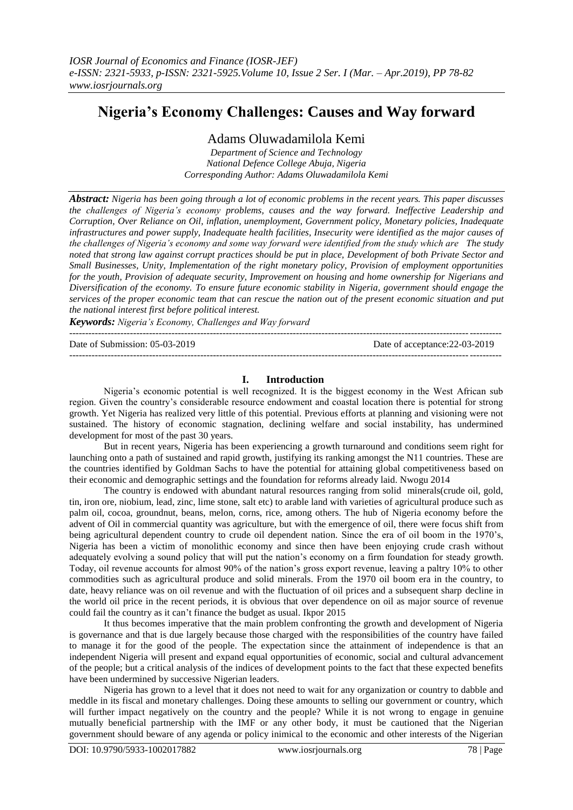# **Nigeria's Economy Challenges: Causes and Way forward**

## Adams Oluwadamilola Kemi

*Department of Science and Technology National Defence College Abuja, Nigeria Corresponding Author: Adams Oluwadamilola Kemi*

*Abstract: Nigeria has been going through a lot of economic problems in the recent years. This paper discusses the challenges of Nigeria's economy problems, causes and the way forward. Ineffective Leadership and Corruption, Over Reliance on Oil, inflation, unemployment, Government policy, Monetary policies, Inadequate infrastructures and power supply, Inadequate health facilities, Insecurity were identified as the major causes of the challenges of Nigeria's economy and some way forward were identified from the study which are The study noted that strong law against corrupt practices should be put in place, Development of both Private Sector and Small Businesses, Unity, Implementation of the right monetary policy, Provision of employment opportunities for the youth, Provision of adequate security, Improvement on housing and home ownership for Nigerians and Diversification of the economy. To ensure future economic stability in Nigeria, government should engage the services of the proper economic team that can rescue the nation out of the present economic situation and put the national interest first before political interest.*

*Keywords: Nigeria's Economy, Challenges and Way forward* ---------------------------------------------------------------------------------------------------------------------------------------

Date of Submission: 05-03-2019 Date of acceptance:22-03-2019  $-1-\frac{1}{2}$ 

#### **I. Introduction**

Nigeria's economic potential is well recognized. It is the biggest economy in the West African sub region. Given the country's considerable resource endowment and coastal location there is potential for strong growth. Yet Nigeria has realized very little of this potential. Previous efforts at planning and visioning were not sustained. The history of economic stagnation, declining welfare and social instability, has undermined development for most of the past 30 years.

But in recent years, Nigeria has been experiencing a growth turnaround and conditions seem right for launching onto a path of sustained and rapid growth, justifying its ranking amongst the N11 countries. These are the countries identified by Goldman Sachs to have the potential for attaining global competitiveness based on their economic and demographic settings and the foundation for reforms already laid. Nwogu 2014

The country is endowed with abundant natural resources ranging from solid minerals(crude oil, gold, tin, iron ore, niobium, lead, zinc, lime stone, salt etc) to arable land with varieties of agricultural produce such as palm oil, cocoa, groundnut, beans, melon, corns, rice, among others. The hub of Nigeria economy before the advent of Oil in commercial quantity was agriculture, but with the emergence of oil, there were focus shift from being agricultural dependent country to crude oil dependent nation. Since the era of oil boom in the 1970's, Nigeria has been a victim of monolithic economy and since then have been enjoying crude crash without adequately evolving a sound policy that will put the nation's economy on a firm foundation for steady growth. Today, oil revenue accounts for almost 90% of the nation's gross export revenue, leaving a paltry 10% to other commodities such as agricultural produce and solid minerals. From the 1970 oil boom era in the country, to date, heavy reliance was on oil revenue and with the fluctuation of oil prices and a subsequent sharp decline in the world oil price in the recent periods, it is obvious that over dependence on oil as major source of revenue could fail the country as it can't finance the budget as usual. Ikpor 2015

It thus becomes imperative that the main problem confronting the growth and development of Nigeria is governance and that is due largely because those charged with the responsibilities of the country have failed to manage it for the good of the people. The expectation since the attainment of independence is that an independent Nigeria will present and expand equal opportunities of economic, social and cultural advancement of the people; but a critical analysis of the indices of development points to the fact that these expected benefits have been undermined by successive Nigerian leaders.

Nigeria has grown to a level that it does not need to wait for any organization or country to dabble and meddle in its fiscal and monetary challenges. Doing these amounts to selling our government or country, which will further impact negatively on the country and the people? While it is not wrong to engage in genuine mutually beneficial partnership with the IMF or any other body, it must be cautioned that the Nigerian government should beware of any agenda or policy inimical to the economic and other interests of the Nigerian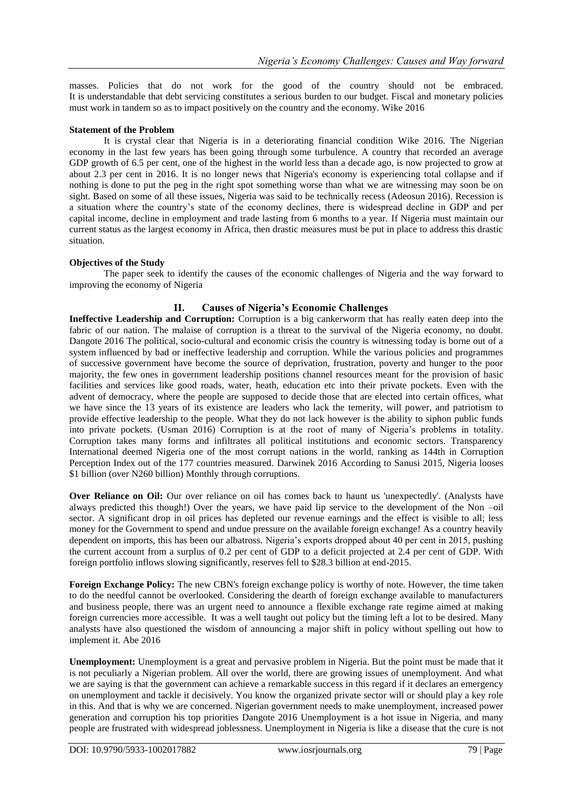masses. Policies that do not work for the good of the country should not be embraced. It is understandable that debt servicing constitutes a serious burden to our budget. Fiscal and monetary policies must work in tandem so as to impact positively on the country and the economy. Wike 2016

#### **Statement of the Problem**

It is crystal clear that Nigeria is in a deteriorating financial condition Wike 2016. The Nigerian economy in the last few years has been going through some turbulence. A country that recorded an average GDP growth of 6.5 per cent, one of the highest in the world less than a decade ago, is now projected to grow at about 2.3 per cent in 2016. It is no longer news that Nigeria's economy is experiencing total collapse and if nothing is done to put the peg in the right spot something worse than what we are witnessing may soon be on sight. Based on some of all these issues, Nigeria was said to be technically recess (Adeosun 2016). Recession is a situation where the country's state of the economy declines, there is widespread decline in GDP and per capital income, decline in employment and trade lasting from 6 months to a year. If Nigeria must maintain our current status as the largest economy in Africa, then drastic measures must be put in place to address this drastic situation.

#### **Objectives of the Study**

The paper seek to identify the causes of the economic challenges of Nigeria and the way forward to improving the economy of Nigeria

#### **II. Causes of Nigeria's Economic Challenges**

**Ineffective Leadership and Corruption:** Corruption is a big cankerworm that has really eaten deep into the fabric of our nation. The malaise of corruption is a threat to the survival of the Nigeria economy, no doubt. Dangote 2016 The political, socio-cultural and economic crisis the country is witnessing today is borne out of a system influenced by bad or ineffective leadership and corruption. While the various policies and programmes of successive government have become the source of deprivation, frustration, poverty and hunger to the poor majority, the few ones in government leadership positions channel resources meant for the provision of basic facilities and services like good roads, water, heath, education etc into their private pockets. Even with the advent of democracy, where the people are supposed to decide those that are elected into certain offices, what we have since the 13 years of its existence are leaders who lack the temerity, will power, and patriotism to provide effective leadership to the people. What they do not lack however is the ability to siphon public funds into private pockets. (Usman 2016) Corruption is at the root of many of Nigeria's problems in totality. Corruption takes many forms and infiltrates all political institutions and economic sectors. Transparency International deemed Nigeria one of the most corrupt nations in the world, ranking as 144th in Corruption Perception Index out of the 177 countries measured. Darwinek 2016 According to Sanusi 2015, Nigeria looses \$1 billion (over N260 billion) Monthly through corruptions.

**Over Reliance on Oil:** Our over reliance on oil has comes back to haunt us 'unexpectedly'. (Analysts have always predicted this though!) Over the years, we have paid lip service to the development of the Non –oil sector. A significant drop in oil prices has depleted our revenue earnings and the effect is visible to all; less money for the Government to spend and undue pressure on the available foreign exchange! As a country heavily dependent on imports, this has been our albatross. Nigeria's exports dropped about 40 per cent in 2015, pushing the current account from a surplus of 0.2 per cent of GDP to a deficit projected at 2.4 per cent of GDP. With foreign portfolio inflows slowing significantly, reserves fell to \$28.3 billion at end-2015.

**Foreign Exchange Policy:** The new CBN's foreign exchange policy is worthy of note. However, the time taken to do the needful cannot be overlooked. Considering the dearth of foreign exchange available to manufacturers and business people, there was an urgent need to announce a flexible exchange rate regime aimed at making foreign currencies more accessible. It was a well taught out policy but the timing left a lot to be desired. Many analysts have also questioned the wisdom of announcing a major shift in policy without spelling out how to implement it. Abe 2016

**Unemployment:** Unemployment is a great and pervasive problem in Nigeria. But the point must be made that it is not peculiarly a Nigerian problem. All over the world, there are growing issues of unemployment. And what we are saying is that the government can achieve a remarkable success in this regard if it declares an emergency on unemployment and tackle it decisively. You know the organized private sector will or should play a key role in this. And that is why we are concerned. Nigerian government needs to make unemployment, increased power generation and corruption his top priorities Dangote 2016 Unemployment is a hot issue in Nigeria, and many people are frustrated with widespread joblessness. Unemployment in Nigeria is like a disease that the cure is not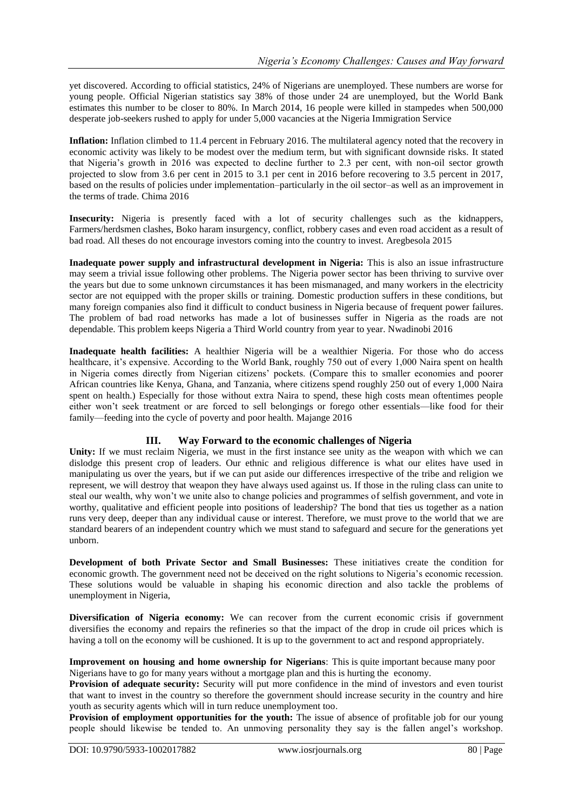yet discovered. According to official statistics, 24% of Nigerians are unemployed. These numbers are worse for young people. Official Nigerian statistics say 38% of those under 24 are unemployed, but the World Bank estimates this number to be closer to 80%. In March 2014, 16 people were killed in stampedes when 500,000 desperate job-seekers rushed to apply for under 5,000 vacancies at the Nigeria Immigration Service

**Inflation:** Inflation climbed to 11.4 percent in February 2016. The multilateral agency noted that the recovery in economic activity was likely to be modest over the medium term, but with significant downside risks. It stated that Nigeria's growth in 2016 was expected to decline further to 2.3 per cent, with non-oil sector growth projected to slow from 3.6 per cent in 2015 to 3.1 per cent in 2016 before recovering to 3.5 percent in 2017, based on the results of policies under implementation–particularly in the oil sector–as well as an improvement in the terms of trade. Chima 2016

**Insecurity:** Nigeria is presently faced with a lot of security challenges such as the kidnappers, Farmers/herdsmen clashes, Boko haram insurgency, conflict, robbery cases and even road accident as a result of bad road. All theses do not encourage investors coming into the country to invest. Aregbesola 2015

**Inadequate power supply and infrastructural development in Nigeria:** This is also an issue infrastructure may seem a trivial issue following other problems. The Nigeria power sector has been thriving to survive over the years but due to some unknown circumstances it has been mismanaged, and many workers in the electricity sector are not equipped with the proper skills or training. Domestic production suffers in these conditions, but many foreign companies also find it difficult to conduct business in Nigeria because of frequent power failures. The problem of bad road networks has made a lot of businesses suffer in Nigeria as the roads are not dependable. This problem keeps Nigeria a Third World country from year to year. Nwadinobi 2016

**Inadequate health facilities:** A healthier Nigeria will be a wealthier Nigeria. For those who do access healthcare, it's expensive. According to the World Bank, roughly 750 out of every 1,000 Naira spent on health in Nigeria comes directly from Nigerian citizens' pockets. (Compare this to smaller economies and poorer African countries like Kenya, Ghana, and Tanzania, where citizens spend roughly 250 out of every 1,000 Naira spent on health.) Especially for those without extra Naira to spend, these high costs mean oftentimes people either won't seek treatment or are forced to sell belongings or forego other essentials—like food for their family—feeding into the cycle of poverty and poor health. [Majange](https://www.one.org/africa/blog/author/gwadamirai-majange/) 2016

### **III. Way Forward to the economic challenges of Nigeria**

**Unity:** If we must reclaim Nigeria, we must in the first instance see unity as the weapon with which we can dislodge this present crop of leaders. Our ethnic and religious difference is what our elites have used in manipulating us over the years, but if we can put aside our differences irrespective of the tribe and religion we represent, we will destroy that weapon they have always used against us. If those in the ruling class can unite to steal our wealth, why won't we unite also to change policies and programmes of selfish government, and vote in worthy, qualitative and efficient people into positions of leadership? The bond that ties us together as a nation runs very deep, deeper than any individual cause or interest. Therefore, we must prove to the world that we are standard bearers of an independent country which we must stand to safeguard and secure for the generations yet unborn.

**Development of both Private Sector and Small Businesses:** These initiatives create the condition for economic growth. The government need not be deceived on the right solutions to Nigeria's economic recession. These solutions would be valuable in shaping his economic direction and also tackle the problems of unemployment in Nigeria,

**Diversification of Nigeria economy:** We can recover from the current economic crisis if government diversifies the economy and repairs the refineries so that the impact of the drop in crude oil prices which is having a toll on the economy will be cushioned. It is up to the government to act and respond appropriately.

**Improvement on housing and home ownership for Nigerians**: This is quite important because many poor Nigerians have to go for many years without a mortgage plan and this is hurting the economy.

**Provision of adequate security:** Security will put more confidence in the mind of investors and even tourist that want to invest in the country so therefore the government should increase security in the country and hire youth as security agents which will in turn reduce unemployment too.

**Provision of employment opportunities for the youth:** The issue of absence of profitable job for our young people should likewise be tended to. An unmoving personality they say is the fallen angel's workshop.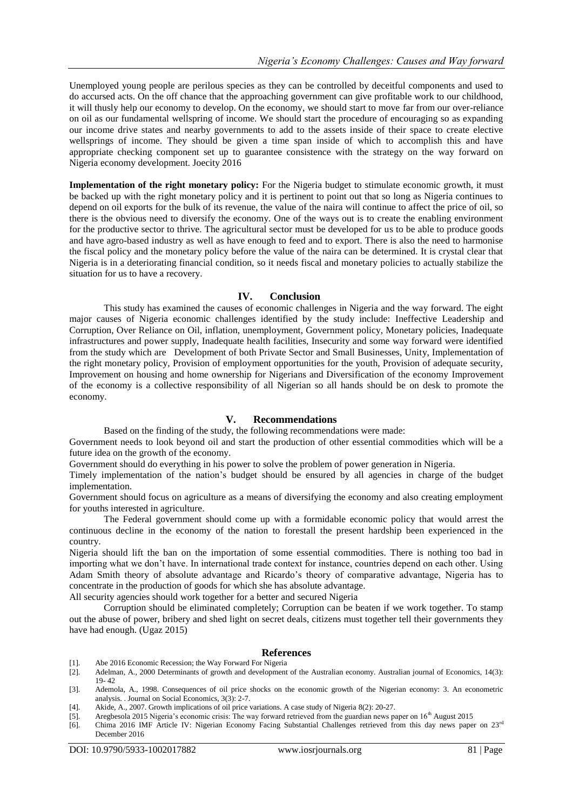Unemployed young people are perilous species as they can be controlled by deceitful components and used to do accursed acts. On the off chance that the approaching government can give profitable work to our childhood, it will thusly help our economy to develop. On the economy, we should start to move far from our over-reliance on oil as our fundamental wellspring of income. We should start the procedure of encouraging so as expanding our income drive states and nearby governments to add to the assets inside of their space to create elective wellsprings of income. They should be given a time span inside of which to accomplish this and have appropriate checking component set up to guarantee consistence with the strategy on the way forward on Nigeria economy development. Joecity 2016

**Implementation of the right monetary policy:** For the Nigeria budget to stimulate economic growth, it must be backed up with the right monetary policy and it is pertinent to point out that so long as Nigeria continues to depend on oil exports for the bulk of its revenue, the value of the naira will continue to affect the price of oil, so there is the obvious need to diversify the economy. One of the ways out is to create the enabling environment for the productive sector to thrive. The agricultural sector must be developed for us to be able to produce goods and have agro-based industry as well as have enough to feed and to export. There is also the need to harmonise the fiscal policy and the monetary policy before the value of the naira can be determined. It is crystal clear that Nigeria is in a deteriorating financial condition, so it needs fiscal and monetary policies to actually stabilize the situation for us to have a recovery.

#### **IV. Conclusion**

This study has examined the causes of economic challenges in Nigeria and the way forward. The eight major causes of Nigeria economic challenges identified by the study include: Ineffective Leadership and Corruption, Over Reliance on Oil, inflation, unemployment, Government policy, Monetary policies, Inadequate infrastructures and power supply, Inadequate health facilities, Insecurity and some way forward were identified from the study which are Development of both Private Sector and Small Businesses, Unity, Implementation of the right monetary policy, Provision of employment opportunities for the youth, Provision of adequate security, Improvement on housing and home ownership for Nigerians and Diversification of the economy Improvement of the economy is a collective responsibility of all Nigerian so all hands should be on desk to promote the economy.

#### **V. Recommendations**

Based on the finding of the study, the following recommendations were made:

Government needs to look beyond oil and start the production of other essential commodities which will be a future idea on the growth of the economy.

Government should do everything in his power to solve the problem of power generation in Nigeria.

Timely implementation of the nation's budget should be ensured by all agencies in charge of the budget implementation.

Government should focus on agriculture as a means of diversifying the economy and also creating employment for youths interested in agriculture.

The Federal government should come up with a formidable economic policy that would arrest the continuous decline in the economy of the nation to forestall the present hardship been experienced in the country.

Nigeria should lift the ban on the importation of some essential commodities. There is nothing too bad in importing what we don't have. In international trade context for instance, countries depend on each other. Using Adam Smith theory of absolute advantage and Ricardo's theory of comparative advantage, Nigeria has to concentrate in the production of goods for which she has absolute advantage.

All security agencies should work together for a better and secured Nigeria

Corruption should be eliminated completely; Corruption can be beaten if we work together. To stamp out the abuse of power, bribery and shed light on secret deals, citizens must together tell their governments they have had enough. (Ugaz 2015)

#### **References**

- [1]. Abe 2016 Economic Recession; the Way Forward For Nigeria [2]. Adelman, A., 2000 Determinants of growth and development
- Adelman, A., 2000 Determinants of growth and development of the Australian economy. Australian journal of Economics, 14(3): 19- 42

[3]. Ademola, A., 1998. Consequences of oil price shocks on the economic growth of the Nigerian economy: 3. An econometric analysis. . Journal on Social Economics, 3(3): 2-7.

- [4]. Akide, A., 2007. Growth implications of oil price variations. A case study of Nigeria 8(2): 20-27.
- [5]. Aregbesola 2015 Nigeria's economic crisis: The way forward retrieved from the guardian news paper on 16<sup>th</sup> August 2015
- [6]. Chima 2016 IMF Article IV: Nigerian Economy Facing Substantial Challenges retrieved from this day news paper on 23rd December 2016